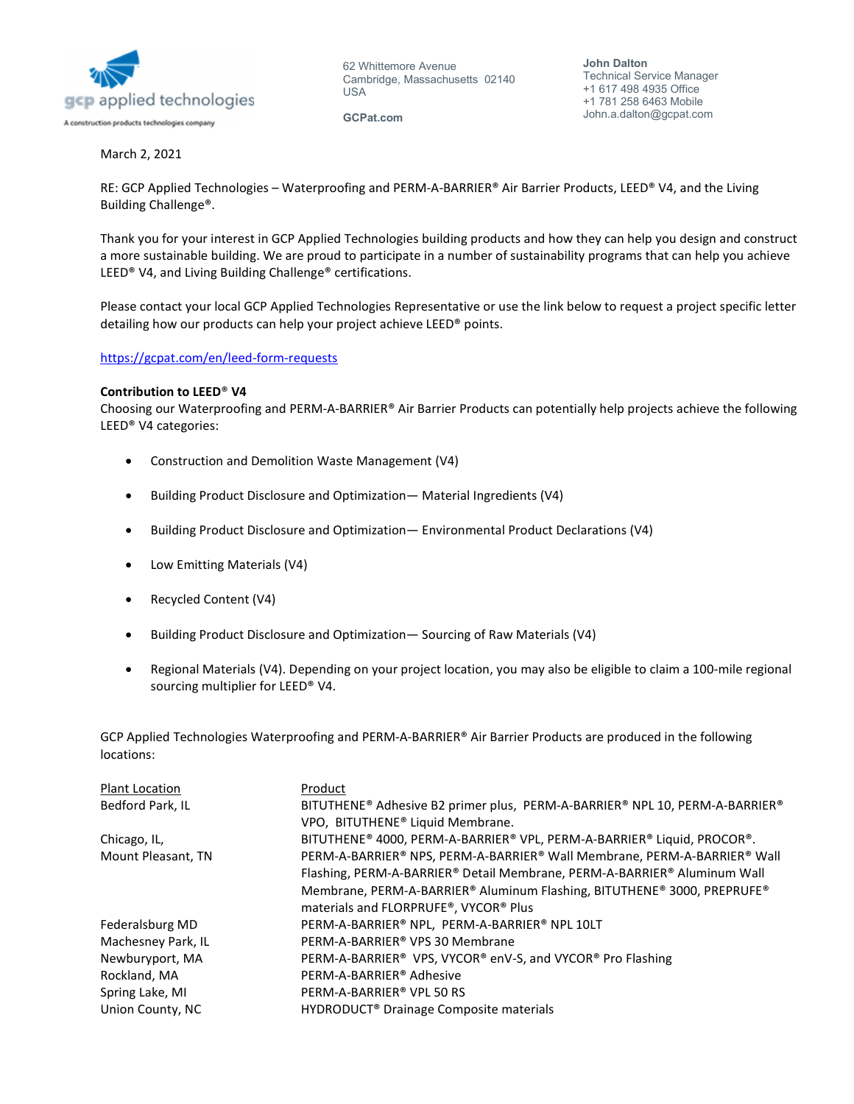

62 Whittemore Avenue Cambridge, Massachusetts 02140 USA

GCPat.com

## March 2, 2021

RE: GCP Applied Technologies – Waterproofing and PERM-A-BARRIER® Air Barrier Products, LEED® V4, and the Living Building Challenge®.

Thank you for your interest in GCP Applied Technologies building products and how they can help you design and construct a more sustainable building. We are proud to participate in a number of sustainability programs that can help you achieve LEED® V4, and Living Building Challenge® certifications.

Please contact your local GCP Applied Technologies Representative or use the link below to request a project specific letter detailing how our products can help your project achieve LEED® points.

## https://gcpat.com/en/leed-form-requests

## Contribution to LEED® V4

Choosing our Waterproofing and PERM-A-BARRIER® Air Barrier Products can potentially help projects achieve the following LEED® V4 categories:

- Construction and Demolition Waste Management (V4)
- Building Product Disclosure and Optimization— Material Ingredients (V4)
- Building Product Disclosure and Optimization— Environmental Product Declarations (V4)
- Low Emitting Materials (V4)
- Recycled Content (V4)
- Building Product Disclosure and Optimization— Sourcing of Raw Materials (V4)
- Regional Materials (V4). Depending on your project location, you may also be eligible to claim a 100-mile regional sourcing multiplier for LEED® V4.

GCP Applied Technologies Waterproofing and PERM-A-BARRIER® Air Barrier Products are produced in the following locations:

| <b>Plant Location</b> | Product                                                                     |
|-----------------------|-----------------------------------------------------------------------------|
| Bedford Park, IL      | BITUTHENE® Adhesive B2 primer plus, PERM-A-BARRIER® NPL 10, PERM-A-BARRIER® |
|                       | VPO, BITUTHENE® Liquid Membrane.                                            |
| Chicago, IL,          | BITUTHENE® 4000, PERM-A-BARRIER® VPL, PERM-A-BARRIER® Liquid, PROCOR®.      |
| Mount Pleasant, TN    | PERM-A-BARRIER® NPS, PERM-A-BARRIER® Wall Membrane, PERM-A-BARRIER® Wall    |
|                       | Flashing, PERM-A-BARRIER® Detail Membrane, PERM-A-BARRIER® Aluminum Wall    |
|                       | Membrane, PERM-A-BARRIER® Aluminum Flashing, BITUTHENE® 3000, PREPRUFE®     |
|                       | materials and FLORPRUFE®, VYCOR® Plus                                       |
| Federalsburg MD       | PERM-A-BARRIER® NPL, PERM-A-BARRIER® NPL 10LT                               |
| Machesney Park, IL    | PERM-A-BARRIER® VPS 30 Membrane                                             |
| Newburyport, MA       | PERM-A-BARRIER® VPS, VYCOR® enV-S, and VYCOR® Pro Flashing                  |
| Rockland, MA          | PERM-A-BARRIER® Adhesive                                                    |
| Spring Lake, MI       | PERM-A-BARRIER® VPL 50 RS                                                   |
| Union County, NC      | HYDRODUCT® Drainage Composite materials                                     |